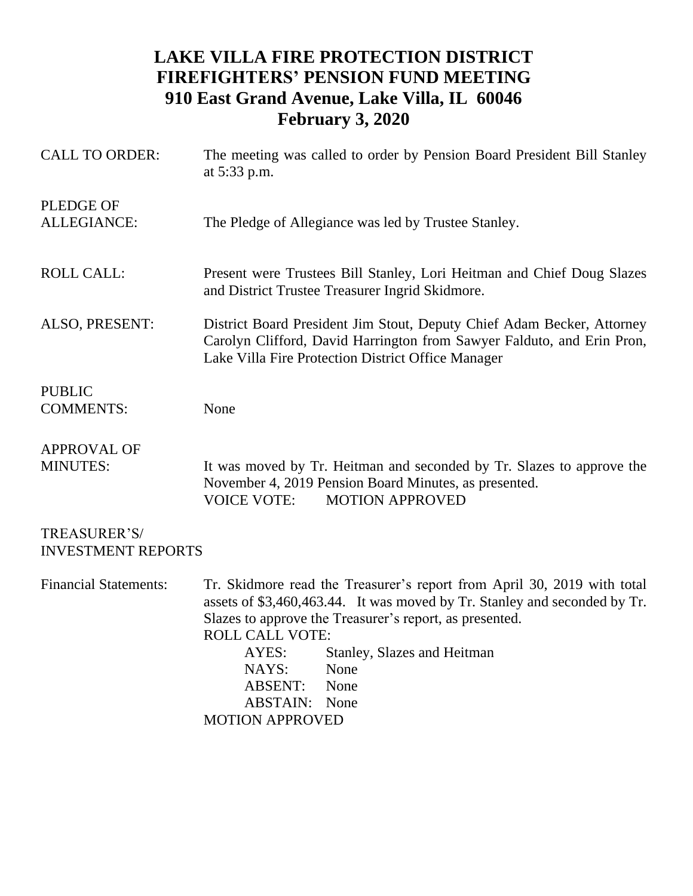## **LAKE VILLA FIRE PROTECTION DISTRICT FIREFIGHTERS' PENSION FUND MEETING 910 East Grand Avenue, Lake Villa, IL 60046 February 3, 2020**

| <b>CALL TO ORDER:</b>                     | The meeting was called to order by Pension Board President Bill Stanley<br>at 5:33 p.m.                                                                                                                                                                                                                                                                                        |  |  |
|-------------------------------------------|--------------------------------------------------------------------------------------------------------------------------------------------------------------------------------------------------------------------------------------------------------------------------------------------------------------------------------------------------------------------------------|--|--|
| <b>PLEDGE OF</b><br><b>ALLEGIANCE:</b>    | The Pledge of Allegiance was led by Trustee Stanley.                                                                                                                                                                                                                                                                                                                           |  |  |
| <b>ROLL CALL:</b>                         | Present were Trustees Bill Stanley, Lori Heitman and Chief Doug Slazes<br>and District Trustee Treasurer Ingrid Skidmore.                                                                                                                                                                                                                                                      |  |  |
| ALSO, PRESENT:                            | District Board President Jim Stout, Deputy Chief Adam Becker, Attorney<br>Carolyn Clifford, David Harrington from Sawyer Falduto, and Erin Pron,<br>Lake Villa Fire Protection District Office Manager                                                                                                                                                                         |  |  |
| <b>PUBLIC</b>                             |                                                                                                                                                                                                                                                                                                                                                                                |  |  |
| <b>COMMENTS:</b>                          | None                                                                                                                                                                                                                                                                                                                                                                           |  |  |
| <b>APPROVAL OF</b><br><b>MINUTES:</b>     | It was moved by Tr. Heitman and seconded by Tr. Slazes to approve the<br>November 4, 2019 Pension Board Minutes, as presented.<br><b>MOTION APPROVED</b><br><b>VOICE VOTE:</b>                                                                                                                                                                                                 |  |  |
| TREASURER'S/<br><b>INVESTMENT REPORTS</b> |                                                                                                                                                                                                                                                                                                                                                                                |  |  |
| <b>Financial Statements:</b>              | Tr. Skidmore read the Treasurer's report from April 30, 2019 with total<br>assets of \$3,460,463.44. It was moved by Tr. Stanley and seconded by Tr.<br>Slazes to approve the Treasurer's report, as presented.<br><b>ROLL CALL VOTE:</b><br>Stanley, Slazes and Heitman<br>AYES:<br>None<br>NAYS:<br><b>ABSENT:</b><br>None<br><b>ABSTAIN:</b> None<br><b>MOTION APPROVED</b> |  |  |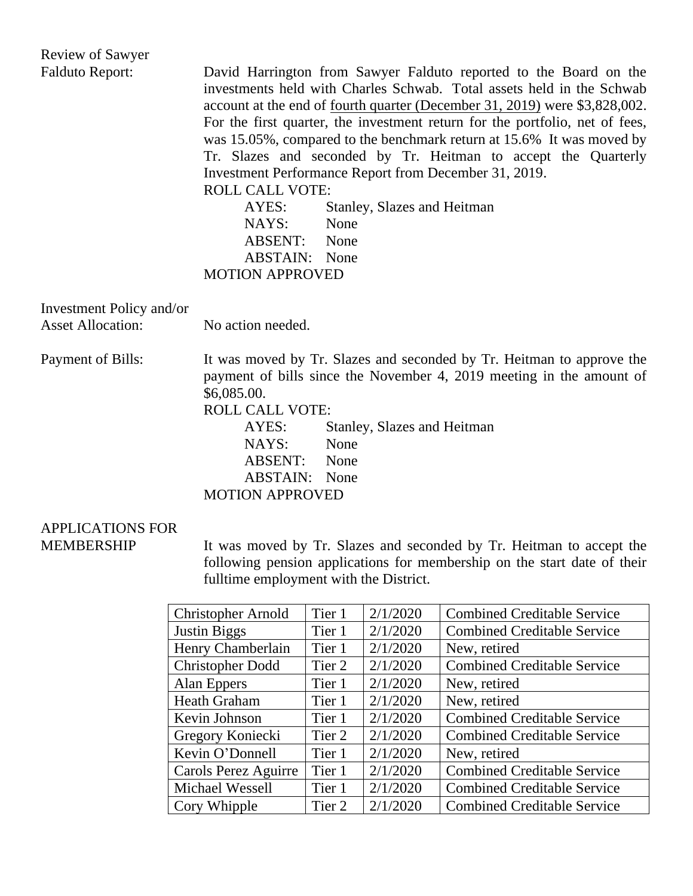| <b>Review of Sawyer</b>  |                                                                                                                                                                                                                                                                                                                                                                                                                                                                                                                                                                                                                                                                          |
|--------------------------|--------------------------------------------------------------------------------------------------------------------------------------------------------------------------------------------------------------------------------------------------------------------------------------------------------------------------------------------------------------------------------------------------------------------------------------------------------------------------------------------------------------------------------------------------------------------------------------------------------------------------------------------------------------------------|
| <b>Falduto Report:</b>   | David Harrington from Sawyer Falduto reported to the Board on the<br>investments held with Charles Schwab. Total assets held in the Schwab<br>account at the end of <u>fourth quarter (December 31, 2019)</u> were \$3,828,002.<br>For the first quarter, the investment return for the portfolio, net of fees,<br>was 15.05%, compared to the benchmark return at 15.6% It was moved by<br>Tr. Slazes and seconded by Tr. Heitman to accept the Quarterly<br>Investment Performance Report from December 31, 2019.<br><b>ROLL CALL VOTE:</b><br>AYES:<br>Stanley, Slazes and Heitman<br>NAYS:<br>None<br>ABSENT: None<br><b>ABSTAIN:</b> None<br><b>MOTION APPROVED</b> |
| Investment Policy and/or |                                                                                                                                                                                                                                                                                                                                                                                                                                                                                                                                                                                                                                                                          |
| <b>Asset Allocation:</b> | No action needed.                                                                                                                                                                                                                                                                                                                                                                                                                                                                                                                                                                                                                                                        |
| Payment of Bills:        | It was moved by Tr. Slazes and seconded by Tr. Heitman to approve the<br>payment of bills since the November 4, 2019 meeting in the amount of<br>\$6,085.00.<br><b>ROLL CALL VOTE:</b><br>AYES:<br>Stanley, Slazes and Heitman<br>None<br>NAYS:<br><b>ABSENT:</b><br>None<br>ABSTAIN:<br>None                                                                                                                                                                                                                                                                                                                                                                            |

MOTION APPROVED

## APPLICATIONS FOR MEMBERSHIP

It was moved by Tr. Slazes and seconded by Tr. Heitman to accept the following pension applications for membership on the start date of their fulltime employment with the District.

| <b>Christopher Arnold</b> | Tier 1 | 2/1/2020 | <b>Combined Creditable Service</b> |
|---------------------------|--------|----------|------------------------------------|
| <b>Justin Biggs</b>       | Tier 1 | 2/1/2020 | <b>Combined Creditable Service</b> |
| Henry Chamberlain         | Tier 1 | 2/1/2020 | New, retired                       |
| <b>Christopher Dodd</b>   | Tier 2 | 2/1/2020 | <b>Combined Creditable Service</b> |
| Alan Eppers               | Tier 1 | 2/1/2020 | New, retired                       |
| <b>Heath Graham</b>       | Tier 1 | 2/1/2020 | New, retired                       |
| Kevin Johnson             | Tier 1 | 2/1/2020 | <b>Combined Creditable Service</b> |
| Gregory Koniecki          | Tier 2 | 2/1/2020 | <b>Combined Creditable Service</b> |
| Kevin O'Donnell           | Tier 1 | 2/1/2020 | New, retired                       |
| Carols Perez Aguirre      | Tier 1 | 2/1/2020 | <b>Combined Creditable Service</b> |
| Michael Wessell           | Tier 1 | 2/1/2020 | <b>Combined Creditable Service</b> |
| Cory Whipple              | Tier 2 | 2/1/2020 | <b>Combined Creditable Service</b> |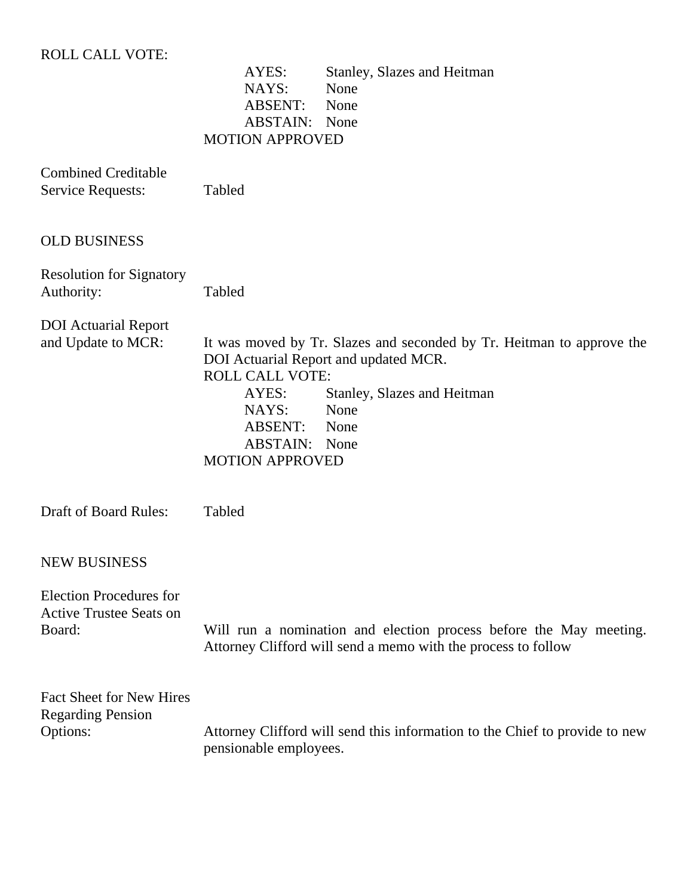## ROLL CALL VOTE:

AYES: Stanley, Slazes and Heitman<br>NAYS: None NAYS: ABSENT: None ABSTAIN: None MOTION APPROVED

| <b>Combined Creditable</b><br><b>Service Requests:</b>                     | Tabled                                                                                                                                                                                                                                                                           |
|----------------------------------------------------------------------------|----------------------------------------------------------------------------------------------------------------------------------------------------------------------------------------------------------------------------------------------------------------------------------|
| <b>OLD BUSINESS</b>                                                        |                                                                                                                                                                                                                                                                                  |
| <b>Resolution for Signatory</b><br>Authority:                              | Tabled                                                                                                                                                                                                                                                                           |
| <b>DOI</b> Actuarial Report<br>and Update to MCR:                          | It was moved by Tr. Slazes and seconded by Tr. Heitman to approve the<br>DOI Actuarial Report and updated MCR.<br><b>ROLL CALL VOTE:</b><br>AYES:<br>Stanley, Slazes and Heitman<br>NAYS:<br>None<br><b>ABSENT:</b><br>None<br><b>ABSTAIN:</b><br>None<br><b>MOTION APPROVED</b> |
| <b>Draft of Board Rules:</b>                                               | Tabled                                                                                                                                                                                                                                                                           |
| <b>NEW BUSINESS</b>                                                        |                                                                                                                                                                                                                                                                                  |
| <b>Election Procedures for</b><br><b>Active Trustee Seats on</b><br>Board: | Will run a nomination and election process before the May meeting.<br>Attorney Clifford will send a memo with the process to follow                                                                                                                                              |
| <b>Fact Sheet for New Hires</b><br><b>Regarding Pension</b><br>Options:    | Attorney Clifford will send this information to the Chief to provide to new<br>pensionable employees.                                                                                                                                                                            |